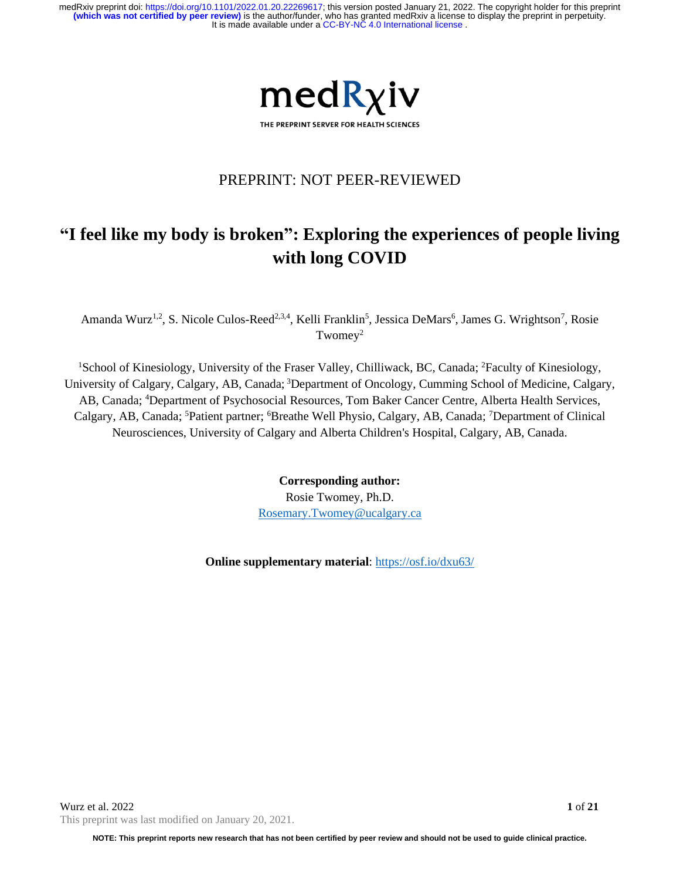

## PREPRINT: NOT PEER-REVIEWED

# **"I feel like my body is broken": Exploring the experiences of people living with long COVID**

Amanda Wurz<sup>1,2</sup>, S. Nicole Culos-Reed<sup>2,3,4</sup>, Kelli Franklin<sup>5</sup>, Jessica DeMars<sup>6</sup>, James G. Wrightson<sup>7</sup>, Rosie Twomey<sup>2</sup>

<sup>1</sup>School of Kinesiology, University of the Fraser Valley, Chilliwack, BC, Canada; <sup>2</sup>Faculty of Kinesiology, University of Calgary, Calgary, AB, Canada; 3Department of Oncology, Cumming School of Medicine, Calgary, AB, Canada; <sup>4</sup>Department of Psychosocial Resources, Tom Baker Cancer Centre, Alberta Health Services, Calgary, AB, Canada; <sup>5</sup>Patient partner; <sup>6</sup>Breathe Well Physio, Calgary, AB, Canada; <sup>7</sup>Department of Clinical Neurosciences, University of Calgary and Alberta Children's Hospital, Calgary, AB, Canada.

> **Corresponding author:** Rosie Twomey, Ph.D. [Rosemary.Twomey@ucalgary.ca](mailto:Rosemary.Twomey@ucalgary.ca)

**Online supplementary material**:<https://osf.io/dxu63/>

**NOTE: This preprint reports new research that has not been certified by peer review and should not be used to guide clinical practice.**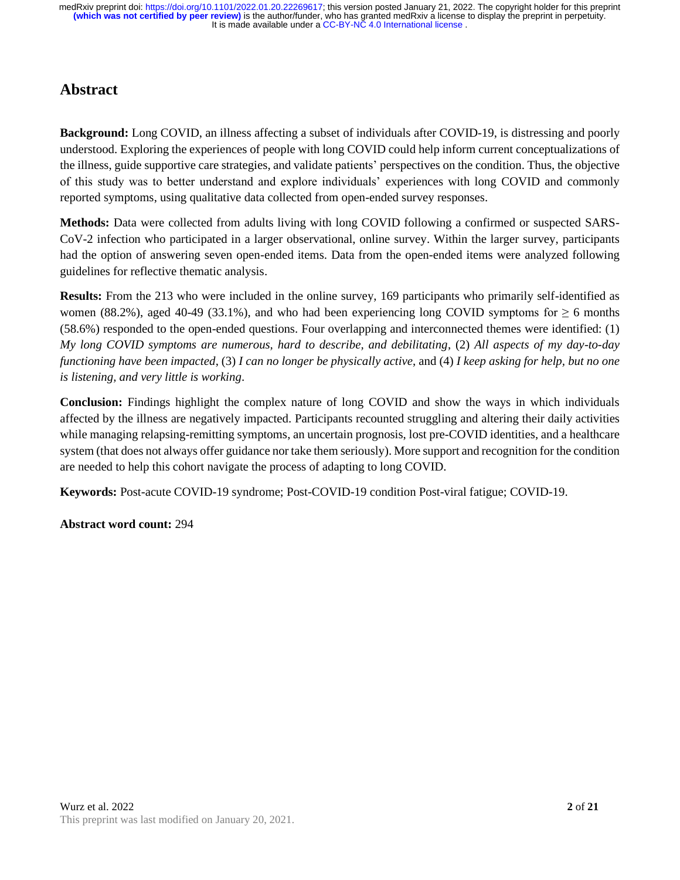## **Abstract**

**Background:** Long COVID, an illness affecting a subset of individuals after COVID-19, is distressing and poorly understood. Exploring the experiences of people with long COVID could help inform current conceptualizations of the illness, guide supportive care strategies, and validate patients' perspectives on the condition. Thus, the objective of this study was to better understand and explore individuals' experiences with long COVID and commonly reported symptoms, using qualitative data collected from open-ended survey responses.

**Methods:** Data were collected from adults living with long COVID following a confirmed or suspected SARS-CoV-2 infection who participated in a larger observational, online survey. Within the larger survey, participants had the option of answering seven open-ended items. Data from the open-ended items were analyzed following guidelines for reflective thematic analysis.

**Results:** From the 213 who were included in the online survey, 169 participants who primarily self-identified as women (88.2%), aged 40-49 (33.1%), and who had been experiencing long COVID symptoms for  $\geq 6$  months (58.6%) responded to the open-ended questions. Four overlapping and interconnected themes were identified: (1) *My long COVID symptoms are numerous, hard to describe, and debilitating*, (2) *All aspects of my day-to-day functioning have been impacted*, (3) *I can no longer be physically active*, and (4) *I keep asking for help, but no one is listening, and very little is working*.

**Conclusion:** Findings highlight the complex nature of long COVID and show the ways in which individuals affected by the illness are negatively impacted. Participants recounted struggling and altering their daily activities while managing relapsing-remitting symptoms, an uncertain prognosis, lost pre-COVID identities, and a healthcare system (that does not always offer guidance nor take them seriously). More support and recognition for the condition are needed to help this cohort navigate the process of adapting to long COVID.

**Keywords:** Post-acute COVID-19 syndrome; Post-COVID-19 condition Post-viral fatigue; COVID-19.

**Abstract word count:** 294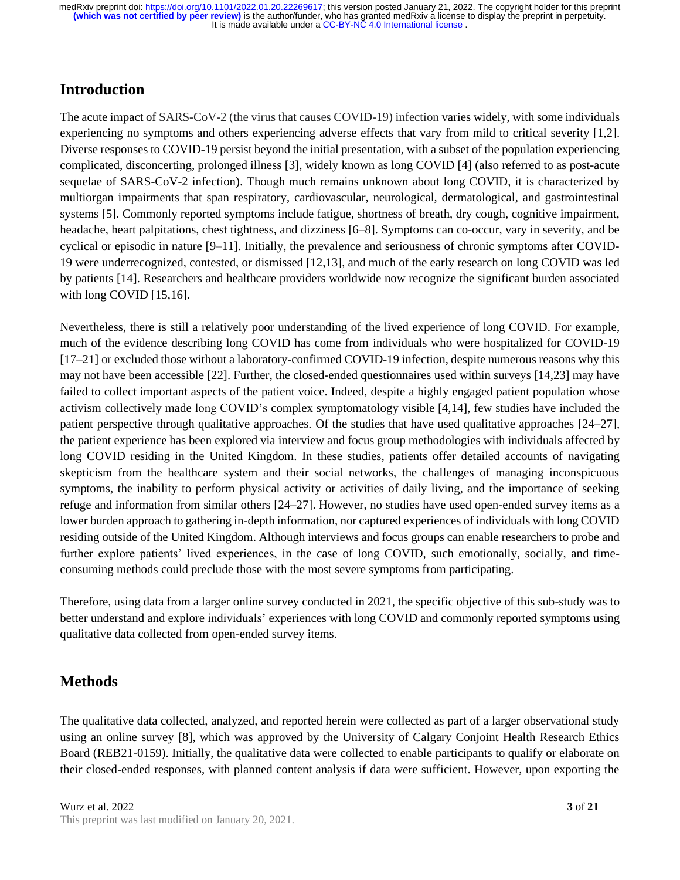## **Introduction**

The acute impact of SARS-CoV-2 (the virus that causes COVID-19) infection varies widely, with some individuals experiencing no symptoms and others experiencing adverse effects that vary from mild to critical severity [1,2]. Diverse responses to COVID-19 persist beyond the initial presentation, with a subset of the population experiencing complicated, disconcerting, prolonged illness [3], widely known as long COVID [4] (also referred to as post-acute sequelae of SARS-CoV-2 infection). Though much remains unknown about long COVID, it is characterized by multiorgan impairments that span respiratory, cardiovascular, neurological, dermatological, and gastrointestinal systems [5]. Commonly reported symptoms include fatigue, shortness of breath, dry cough, cognitive impairment, headache, heart palpitations, chest tightness, and dizziness [6–8]. Symptoms can co-occur, vary in severity, and be cyclical or episodic in nature [9–11]. Initially, the prevalence and seriousness of chronic symptoms after COVID-19 were underrecognized, contested, or dismissed [12,13], and much of the early research on long COVID was led by patients [14]. Researchers and healthcare providers worldwide now recognize the significant burden associated with long COVID [15,16].

Nevertheless, there is still a relatively poor understanding of the lived experience of long COVID. For example, much of the evidence describing long COVID has come from individuals who were hospitalized for COVID-19 [17–21] or excluded those without a laboratory-confirmed COVID-19 infection, despite numerous reasons why this may not have been accessible [22]. Further, the closed-ended questionnaires used within surveys [14,23] may have failed to collect important aspects of the patient voice. Indeed, despite a highly engaged patient population whose activism collectively made long COVID's complex symptomatology visible [4,14], few studies have included the patient perspective through qualitative approaches. Of the studies that have used qualitative approaches [24–27], the patient experience has been explored via interview and focus group methodologies with individuals affected by long COVID residing in the United Kingdom. In these studies, patients offer detailed accounts of navigating skepticism from the healthcare system and their social networks, the challenges of managing inconspicuous symptoms, the inability to perform physical activity or activities of daily living, and the importance of seeking refuge and information from similar others [24–27]. However, no studies have used open-ended survey items as a lower burden approach to gathering in-depth information, nor captured experiences of individuals with long COVID residing outside of the United Kingdom. Although interviews and focus groups can enable researchers to probe and further explore patients' lived experiences, in the case of long COVID, such emotionally, socially, and timeconsuming methods could preclude those with the most severe symptoms from participating.

Therefore, using data from a larger online survey conducted in 2021, the specific objective of this sub-study was to better understand and explore individuals' experiences with long COVID and commonly reported symptoms using qualitative data collected from open-ended survey items.

## **Methods**

The qualitative data collected, analyzed, and reported herein were collected as part of a larger observational study using an online survey [8], which was approved by the University of Calgary Conjoint Health Research Ethics Board (REB21-0159). Initially, the qualitative data were collected to enable participants to qualify or elaborate on their closed-ended responses, with planned content analysis if data were sufficient. However, upon exporting the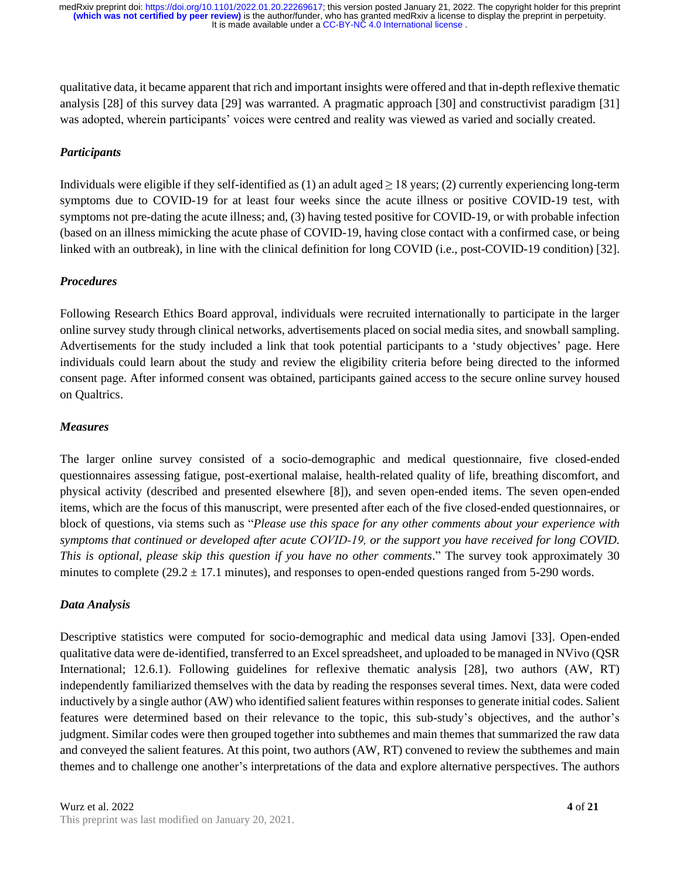qualitative data, it became apparent that rich and important insights were offered and that in-depth reflexive thematic analysis [28] of this survey data [29] was warranted. A pragmatic approach [30] and constructivist paradigm [31] was adopted, wherein participants' voices were centred and reality was viewed as varied and socially created.

#### *Participants*

Individuals were eligible if they self-identified as (1) an adult aged  $\geq$  18 years; (2) currently experiencing long-term symptoms due to COVID-19 for at least four weeks since the acute illness or positive COVID-19 test, with symptoms not pre-dating the acute illness; and, (3) having tested positive for COVID-19, or with probable infection (based on an illness mimicking the acute phase of COVID-19, having close contact with a confirmed case, or being linked with an outbreak), in line with the clinical definition for long COVID (i.e., post-COVID-19 condition) [32].

#### *Procedures*

Following Research Ethics Board approval, individuals were recruited internationally to participate in the larger online survey study through clinical networks, advertisements placed on social media sites, and snowball sampling. Advertisements for the study included a link that took potential participants to a 'study objectives' page. Here individuals could learn about the study and review the eligibility criteria before being directed to the informed consent page. After informed consent was obtained, participants gained access to the secure online survey housed on Qualtrics.

#### *Measures*

The larger online survey consisted of a socio-demographic and medical questionnaire, five closed-ended questionnaires assessing fatigue, post-exertional malaise, health-related quality of life, breathing discomfort, and physical activity (described and presented elsewhere [8]), and seven open-ended items. The seven open-ended items, which are the focus of this manuscript, were presented after each of the five closed-ended questionnaires, or block of questions, via stems such as "*Please use this space for any other comments about your experience with symptoms that continued or developed after acute COVID‑19, or the support you have received for long COVID. This is optional, please skip this question if you have no other comments*." The survey took approximately 30 minutes to complete ( $29.2 \pm 17.1$  minutes), and responses to open-ended questions ranged from 5-290 words.

#### *Data Analysis*

Descriptive statistics were computed for socio-demographic and medical data using Jamovi [33]. Open-ended qualitative data were de-identified, transferred to an Excel spreadsheet, and uploaded to be managed in NVivo (QSR International; 12.6.1). Following guidelines for reflexive thematic analysis [28], two authors (AW, RT) independently familiarized themselves with the data by reading the responses several times. Next, data were coded inductively by a single author (AW) who identified salient features within responsesto generate initial codes. Salient features were determined based on their relevance to the topic, this sub-study's objectives, and the author's judgment. Similar codes were then grouped together into subthemes and main themes that summarized the raw data and conveyed the salient features. At this point, two authors (AW, RT) convened to review the subthemes and main themes and to challenge one another's interpretations of the data and explore alternative perspectives. The authors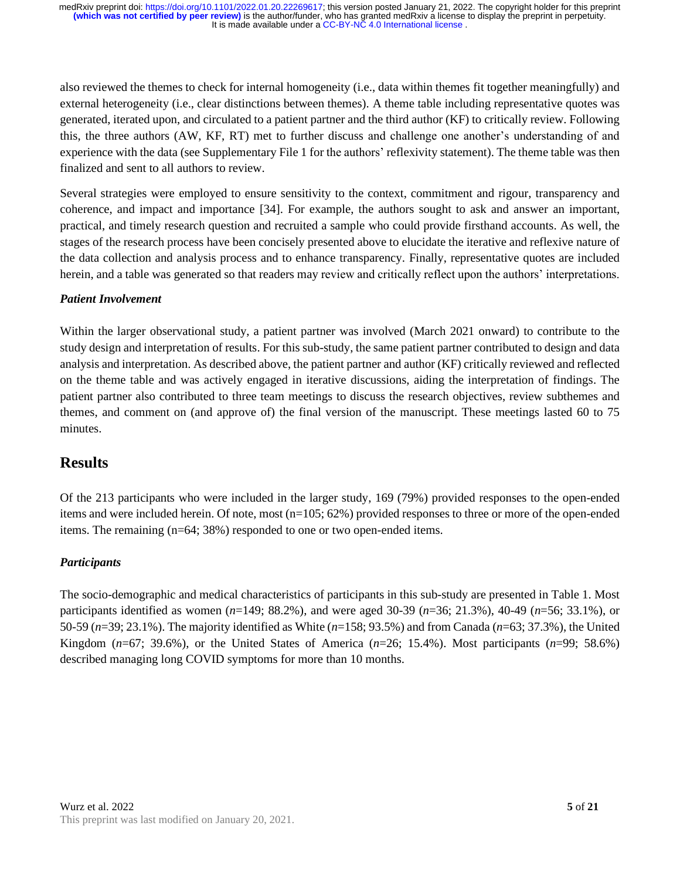also reviewed the themes to check for internal homogeneity (i.e., data within themes fit together meaningfully) and external heterogeneity (i.e., clear distinctions between themes). A theme table including representative quotes was generated, iterated upon, and circulated to a patient partner and the third author (KF) to critically review. Following this, the three authors (AW, KF, RT) met to further discuss and challenge one another's understanding of and experience with the data (see Supplementary File 1 for the authors' reflexivity statement). The theme table was then finalized and sent to all authors to review.

Several strategies were employed to ensure sensitivity to the context, commitment and rigour, transparency and coherence, and impact and importance [34]. For example, the authors sought to ask and answer an important, practical, and timely research question and recruited a sample who could provide firsthand accounts. As well, the stages of the research process have been concisely presented above to elucidate the iterative and reflexive nature of the data collection and analysis process and to enhance transparency. Finally, representative quotes are included herein, and a table was generated so that readers may review and critically reflect upon the authors' interpretations.

#### *Patient Involvement*

Within the larger observational study, a patient partner was involved (March 2021 onward) to contribute to the study design and interpretation of results. For this sub-study, the same patient partner contributed to design and data analysis and interpretation. As described above, the patient partner and author (KF) critically reviewed and reflected on the theme table and was actively engaged in iterative discussions, aiding the interpretation of findings. The patient partner also contributed to three team meetings to discuss the research objectives, review subthemes and themes, and comment on (and approve of) the final version of the manuscript. These meetings lasted 60 to 75 minutes.

## **Results**

Of the 213 participants who were included in the larger study, 169 (79%) provided responses to the open-ended items and were included herein. Of note, most (n=105; 62%) provided responses to three or more of the open-ended items. The remaining (n=64; 38%) responded to one or two open-ended items.

#### *Participants*

The socio-demographic and medical characteristics of participants in this sub-study are presented in Table 1. Most participants identified as women (*n*=149; 88.2%), and were aged 30-39 (*n*=36; 21.3%), 40-49 (*n*=56; 33.1%), or 50-59 (*n*=39; 23.1%). The majority identified as White (*n*=158; 93.5%) and from Canada (*n*=63; 37.3%), the United Kingdom (*n*=67; 39.6%), or the United States of America (*n*=26; 15.4%). Most participants (*n*=99; 58.6%) described managing long COVID symptoms for more than 10 months.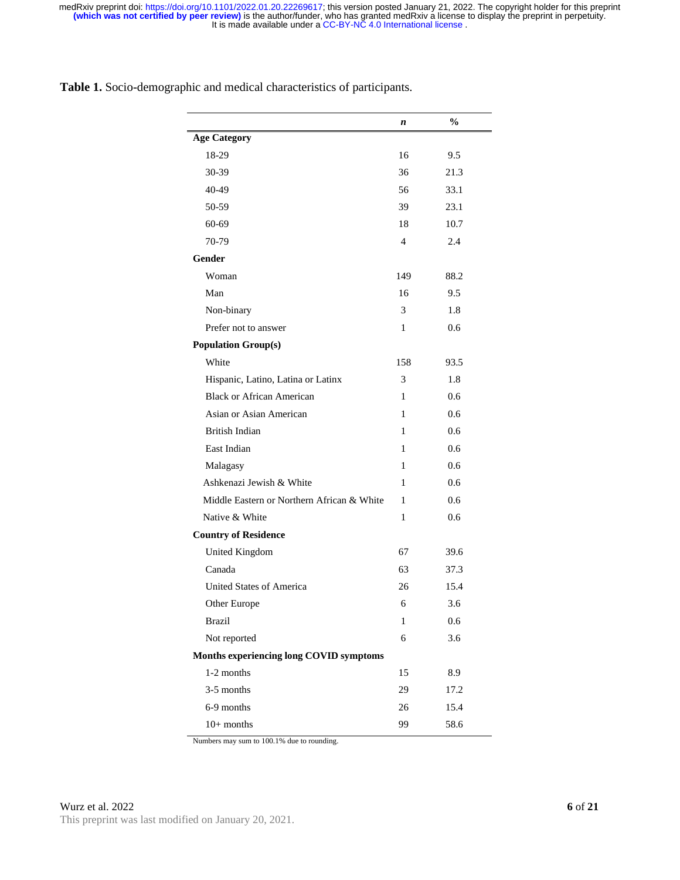|                                            | n   | $\frac{6}{9}$ |
|--------------------------------------------|-----|---------------|
| <b>Age Category</b>                        |     |               |
| 18-29                                      | 16  | 9.5           |
| $30 - 39$                                  | 36  | 21.3          |
| 40-49                                      | 56  | 33.1          |
| 50-59                                      | 39  | 23.1          |
| 60-69                                      | 18  | 10.7          |
| 70-79                                      | 4   | 2.4           |
| <b>Gender</b>                              |     |               |
| Woman                                      | 149 | 88.2          |
| Man                                        | 16  | 9.5           |
| Non-binary                                 | 3   | 1.8           |
| Prefer not to answer                       | 1   | 0.6           |
| <b>Population Group(s)</b>                 |     |               |
| White                                      | 158 | 93.5          |
| Hispanic, Latino, Latina or Latinx         | 3   | 1.8           |
| Black or African American                  | 1   | 0.6           |
| Asian or Asian American                    | 1   | 0.6           |
| <b>British Indian</b>                      | 1   | 0.6           |
| East Indian                                | 1   | 0.6           |
| Malagasy                                   | 1   | 0.6           |
| Ashkenazi Jewish & White                   | 1   | 0.6           |
| Middle Eastern or Northern African & White | 1   | 0.6           |
| Native & White                             | 1   | 0.6           |
| <b>Country of Residence</b>                |     |               |
| United Kingdom                             | 67  | 39.6          |
| Canada                                     | 63  | 37.3          |
| <b>United States of America</b>            | 26  | 15.4          |
| Other Europe                               | 6   | 3.6           |
| <b>Brazil</b>                              | 1   | 0.6           |
| Not reported                               | 6   | 3.6           |
| Months experiencing long COVID symptoms    |     |               |
| 1-2 months                                 | 15  | 8.9           |
| 3-5 months                                 | 29  | 17.2          |
| 6-9 months                                 | 26  | 15.4          |
| $10+$ months                               | 99  | 58.6          |

**Table 1.** Socio-demographic and medical characteristics of participants.

Numbers may sum to 100.1% due to rounding.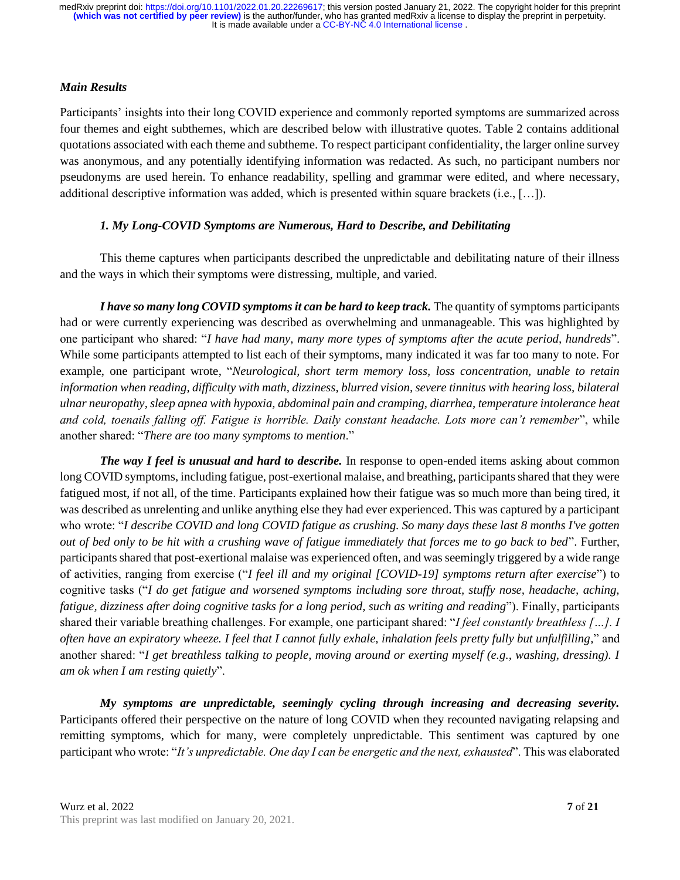#### *Main Results*

Participants' insights into their long COVID experience and commonly reported symptoms are summarized across four themes and eight subthemes, which are described below with illustrative quotes. Table 2 contains additional quotations associated with each theme and subtheme. To respect participant confidentiality, the larger online survey was anonymous, and any potentially identifying information was redacted. As such, no participant numbers nor pseudonyms are used herein. To enhance readability, spelling and grammar were edited, and where necessary, additional descriptive information was added, which is presented within square brackets (i.e., […]).

#### *1. My Long-COVID Symptoms are Numerous, Hard to Describe, and Debilitating*

This theme captures when participants described the unpredictable and debilitating nature of their illness and the ways in which their symptoms were distressing, multiple, and varied.

*I have so many long COVID symptoms it can be hard to keep track.* The quantity of symptoms participants had or were currently experiencing was described as overwhelming and unmanageable. This was highlighted by one participant who shared: "*I have had many, many more types of symptoms after the acute period, hundreds*". While some participants attempted to list each of their symptoms, many indicated it was far too many to note. For example, one participant wrote, "*Neurological, short term memory loss, loss concentration, unable to retain information when reading, difficulty with math, dizziness, blurred vision, severe tinnitus with hearing loss, bilateral ulnar neuropathy, sleep apnea with hypoxia, abdominal pain and cramping, diarrhea, temperature intolerance heat and cold, toenails falling off. Fatigue is horrible. Daily constant headache. Lots more can't remember*", while another shared: "*There are too many symptoms to mention*."

*The way I feel is unusual and hard to describe.* In response to open-ended items asking about common long COVID symptoms, including fatigue, post-exertional malaise, and breathing, participants shared that they were fatigued most, if not all, of the time. Participants explained how their fatigue was so much more than being tired, it was described as unrelenting and unlike anything else they had ever experienced. This was captured by a participant who wrote: "*I describe COVID and long COVID fatigue as crushing. So many days these last 8 months I've gotten out of bed only to be hit with a crushing wave of fatigue immediately that forces me to go back to bed*". Further, participants shared that post-exertional malaise was experienced often, and was seemingly triggered by a wide range of activities, ranging from exercise ("*I feel ill and my original [COVID-19] symptoms return after exercise*") to cognitive tasks ("*I do get fatigue and worsened symptoms including sore throat, stuffy nose, headache, aching, fatigue, dizziness after doing cognitive tasks for a long period, such as writing and reading*"). Finally, participants shared their variable breathing challenges. For example, one participant shared: "*I feel constantly breathless […]. I often have an expiratory wheeze. I feel that I cannot fully exhale, inhalation feels pretty fully but unfulfilling,*" and another shared: "*I get breathless talking to people, moving around or exerting myself (e.g., washing, dressing). I am ok when I am resting quietly*".

*My symptoms are unpredictable, seemingly cycling through increasing and decreasing severity.*  Participants offered their perspective on the nature of long COVID when they recounted navigating relapsing and remitting symptoms, which for many, were completely unpredictable. This sentiment was captured by one participant who wrote: "*It's unpredictable. One day I can be energetic and the next, exhausted*". This was elaborated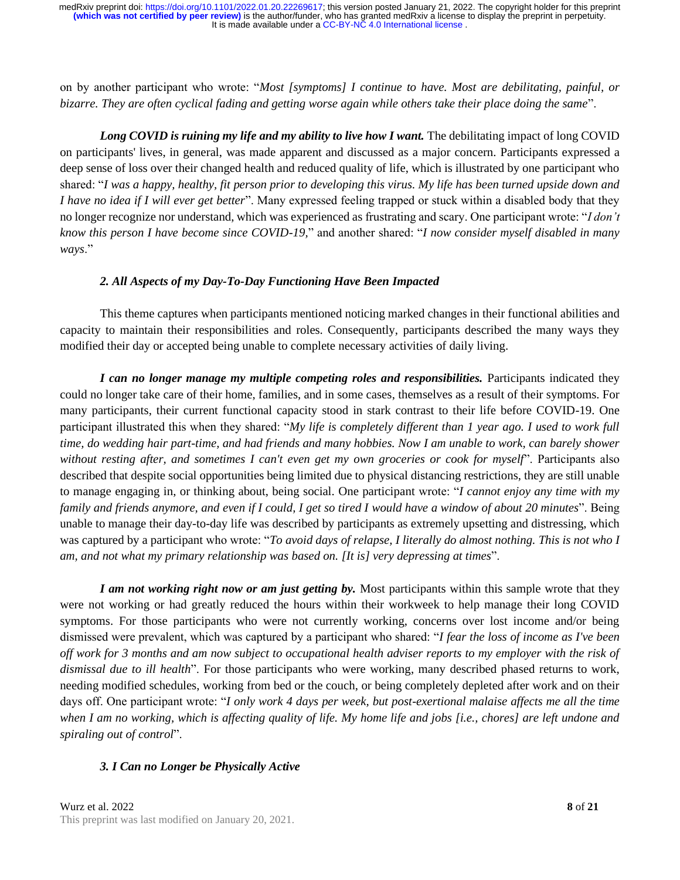on by another participant who wrote: "*Most [symptoms] I continue to have. Most are debilitating, painful, or bizarre. They are often cyclical fading and getting worse again while others take their place doing the same*".

Long COVID is ruining my life and my ability to live how I want. The debilitating impact of long COVID on participants' lives, in general, was made apparent and discussed as a major concern. Participants expressed a deep sense of loss over their changed health and reduced quality of life, which is illustrated by one participant who shared: "*I was a happy, healthy, fit person prior to developing this virus. My life has been turned upside down and I have no idea if I will ever get better*". Many expressed feeling trapped or stuck within a disabled body that they no longer recognize nor understand, which was experienced as frustrating and scary. One participant wrote: "*I don't know this person I have become since COVID-19,*" and another shared: "*I now consider myself disabled in many ways*."

#### *2. All Aspects of my Day-To-Day Functioning Have Been Impacted*

This theme captures when participants mentioned noticing marked changes in their functional abilities and capacity to maintain their responsibilities and roles. Consequently, participants described the many ways they modified their day or accepted being unable to complete necessary activities of daily living.

*I can no longer manage my multiple competing roles and responsibilities.* Participants indicated they could no longer take care of their home, families, and in some cases, themselves as a result of their symptoms. For many participants, their current functional capacity stood in stark contrast to their life before COVID-19. One participant illustrated this when they shared: "*My life is completely different than 1 year ago. I used to work full time, do wedding hair part-time, and had friends and many hobbies. Now I am unable to work, can barely shower without resting after, and sometimes I can't even get my own groceries or cook for myself*". Participants also described that despite social opportunities being limited due to physical distancing restrictions, they are still unable to manage engaging in, or thinking about, being social. One participant wrote: "*I cannot enjoy any time with my family and friends anymore, and even if I could, I get so tired I would have a window of about 20 minutes*". Being unable to manage their day-to-day life was described by participants as extremely upsetting and distressing, which was captured by a participant who wrote: "*To avoid days of relapse, I literally do almost nothing. This is not who I am, and not what my primary relationship was based on. [It is] very depressing at times*".

*I am not working right now or am just getting by.* Most participants within this sample wrote that they were not working or had greatly reduced the hours within their workweek to help manage their long COVID symptoms. For those participants who were not currently working, concerns over lost income and/or being dismissed were prevalent, which was captured by a participant who shared: "*I fear the loss of income as I've been off work for 3 months and am now subject to occupational health adviser reports to my employer with the risk of dismissal due to ill health*". For those participants who were working, many described phased returns to work, needing modified schedules, working from bed or the couch, or being completely depleted after work and on their days off. One participant wrote: "*I only work 4 days per week, but post-exertional malaise affects me all the time when I am no working, which is affecting quality of life. My home life and jobs [i.e., chores] are left undone and spiraling out of control*".

#### *3. I Can no Longer be Physically Active*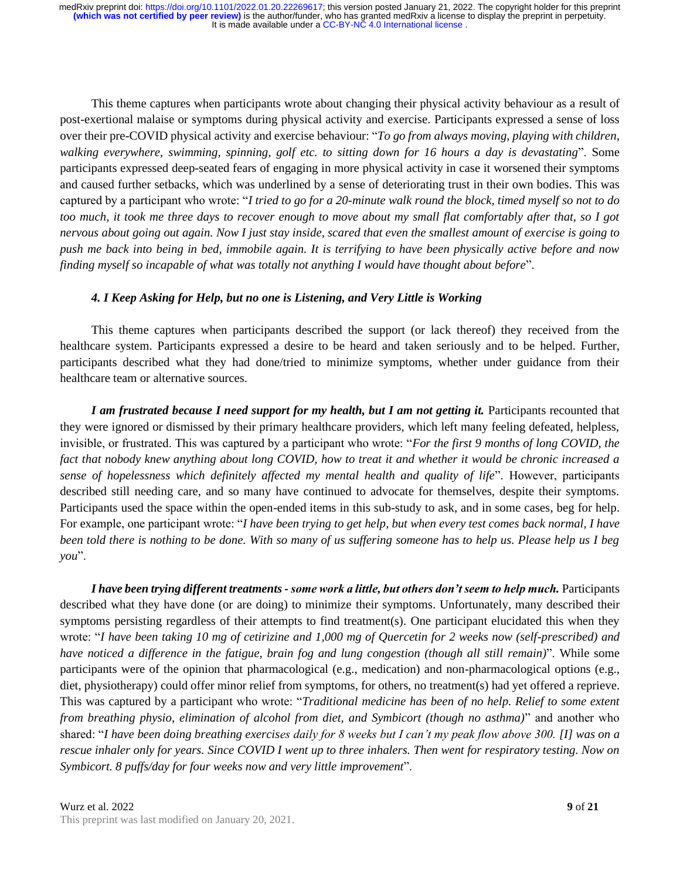This theme captures when participants wrote about changing their physical activity behaviour as a result of post-exertional malaise or symptoms during physical activity and exercise. Participants expressed a sense of loss over their pre-COVID physical activity and exercise behaviour: "*To go from always moving, playing with children, walking everywhere, swimming, spinning, golf etc. to sitting down for 16 hours a day is devastating*". Some participants expressed deep-seated fears of engaging in more physical activity in case it worsened their symptoms and caused further setbacks, which was underlined by a sense of deteriorating trust in their own bodies. This was captured by a participant who wrote: "*I tried to go for a 20-minute walk round the block, timed myself so not to do too much, it took me three days to recover enough to move about my small flat comfortably after that, so I got nervous about going out again. Now I just stay inside, scared that even the smallest amount of exercise is going to push me back into being in bed, immobile again. It is terrifying to have been physically active before and now finding myself so incapable of what was totally not anything I would have thought about before*".

#### *4. I Keep Asking for Help, but no one is Listening, and Very Little is Working*

This theme captures when participants described the support (or lack thereof) they received from the healthcare system. Participants expressed a desire to be heard and taken seriously and to be helped. Further, participants described what they had done/tried to minimize symptoms, whether under guidance from their healthcare team or alternative sources.

*I am frustrated because I need support for my health, but I am not getting it. Participants recounted that* they were ignored or dismissed by their primary healthcare providers, which left many feeling defeated, helpless, invisible, or frustrated. This was captured by a participant who wrote: "*For the first 9 months of long COVID, the fact that nobody knew anything about long COVID, how to treat it and whether it would be chronic increased a sense of hopelessness which definitely affected my mental health and quality of life*". However, participants described still needing care, and so many have continued to advocate for themselves, despite their symptoms. Participants used the space within the open-ended items in this sub-study to ask, and in some cases, beg for help. For example, one participant wrote: "*I have been trying to get help, but when every test comes back normal, I have been told there is nothing to be done. With so many of us suffering someone has to help us. Please help us I beg you*".

I have been *trying different treatments - some work a little, but others don't seem to help much. Participants* described what they have done (or are doing) to minimize their symptoms. Unfortunately, many described their symptoms persisting regardless of their attempts to find treatment(s). One participant elucidated this when they wrote: "*I have been taking 10 mg of cetirizine and 1,000 mg of Quercetin for 2 weeks now (self-prescribed) and have noticed a difference in the fatigue, brain fog and lung congestion (though all still remain)*". While some participants were of the opinion that pharmacological (e.g., medication) and non-pharmacological options (e.g., diet, physiotherapy) could offer minor relief from symptoms, for others, no treatment(s) had yet offered a reprieve. This was captured by a participant who wrote: "*Traditional medicine has been of no help. Relief to some extent from breathing physio, elimination of alcohol from diet, and Symbicort (though no asthma)*" and another who shared: "*I have been doing breathing exercises daily for 8 weeks but I can't my peak flow above 300. [I] was on a rescue inhaler only for years. Since COVID I went up to three inhalers. Then went for respiratory testing. Now on Symbicort. 8 puffs/day for four weeks now and very little improvement*".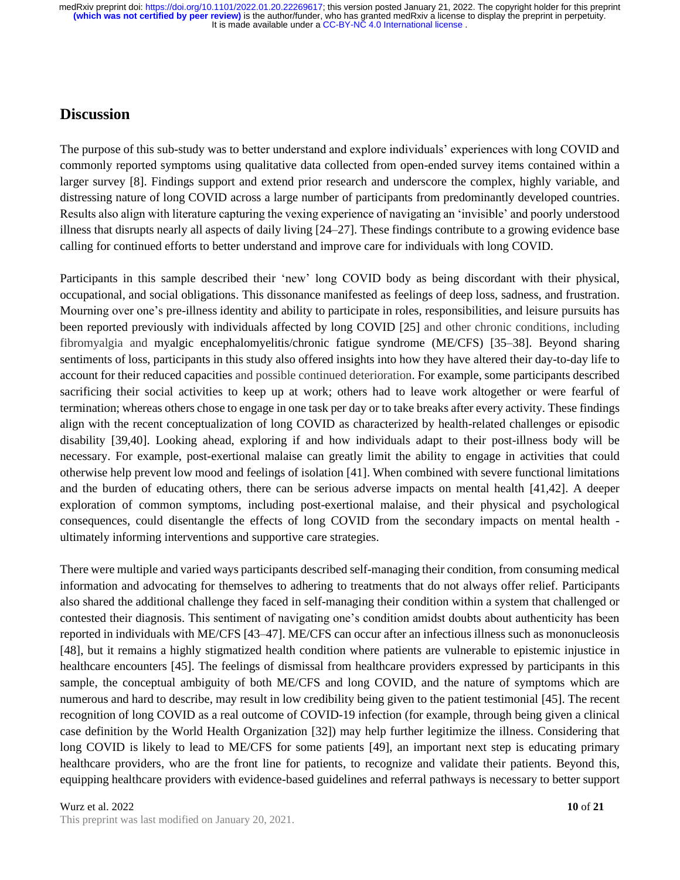### **Discussion**

The purpose of this sub-study was to better understand and explore individuals' experiences with long COVID and commonly reported symptoms using qualitative data collected from open-ended survey items contained within a larger survey [8]. Findings support and extend prior research and underscore the complex, highly variable, and distressing nature of long COVID across a large number of participants from predominantly developed countries. Results also align with literature capturing the vexing experience of navigating an 'invisible' and poorly understood illness that disrupts nearly all aspects of daily living [24–27]. These findings contribute to a growing evidence base calling for continued efforts to better understand and improve care for individuals with long COVID.

Participants in this sample described their 'new' long COVID body as being discordant with their physical, occupational, and social obligations. This dissonance manifested as feelings of deep loss, sadness, and frustration. Mourning over one's pre-illness identity and ability to participate in roles, responsibilities, and leisure pursuits has been reported previously with individuals affected by long COVID [25] and other chronic conditions, including fibromyalgia and myalgic encephalomyelitis/chronic fatigue syndrome (ME/CFS) [35–38]. Beyond sharing sentiments of loss, participants in this study also offered insights into how they have altered their day-to-day life to account for their reduced capacities and possible continued deterioration. For example, some participants described sacrificing their social activities to keep up at work; others had to leave work altogether or were fearful of termination; whereas others chose to engage in one task per day or to take breaks after every activity. These findings align with the recent conceptualization of long COVID as characterized by health-related challenges or episodic disability [39,40]. Looking ahead, exploring if and how individuals adapt to their post-illness body will be necessary. For example, post-exertional malaise can greatly limit the ability to engage in activities that could otherwise help prevent low mood and feelings of isolation [41]. When combined with severe functional limitations and the burden of educating others, there can be serious adverse impacts on mental health [41,42]. A deeper exploration of common symptoms, including post-exertional malaise, and their physical and psychological consequences, could disentangle the effects of long COVID from the secondary impacts on mental health ultimately informing interventions and supportive care strategies.

There were multiple and varied ways participants described self-managing their condition, from consuming medical information and advocating for themselves to adhering to treatments that do not always offer relief. Participants also shared the additional challenge they faced in self-managing their condition within a system that challenged or contested their diagnosis. This sentiment of navigating one's condition amidst doubts about authenticity has been reported in individuals with ME/CFS [43–47]. ME/CFS can occur after an infectious illness such as mononucleosis [48], but it remains a highly stigmatized health condition where patients are vulnerable to epistemic injustice in healthcare encounters [45]. The feelings of dismissal from healthcare providers expressed by participants in this sample, the conceptual ambiguity of both ME/CFS and long COVID, and the nature of symptoms which are numerous and hard to describe, may result in low credibility being given to the patient testimonial [45]. The recent recognition of long COVID as a real outcome of COVID-19 infection (for example, through being given a clinical case definition by the World Health Organization [32]) may help further legitimize the illness. Considering that long COVID is likely to lead to ME/CFS for some patients [49], an important next step is educating primary healthcare providers, who are the front line for patients, to recognize and validate their patients. Beyond this, equipping healthcare providers with evidence-based guidelines and referral pathways is necessary to better support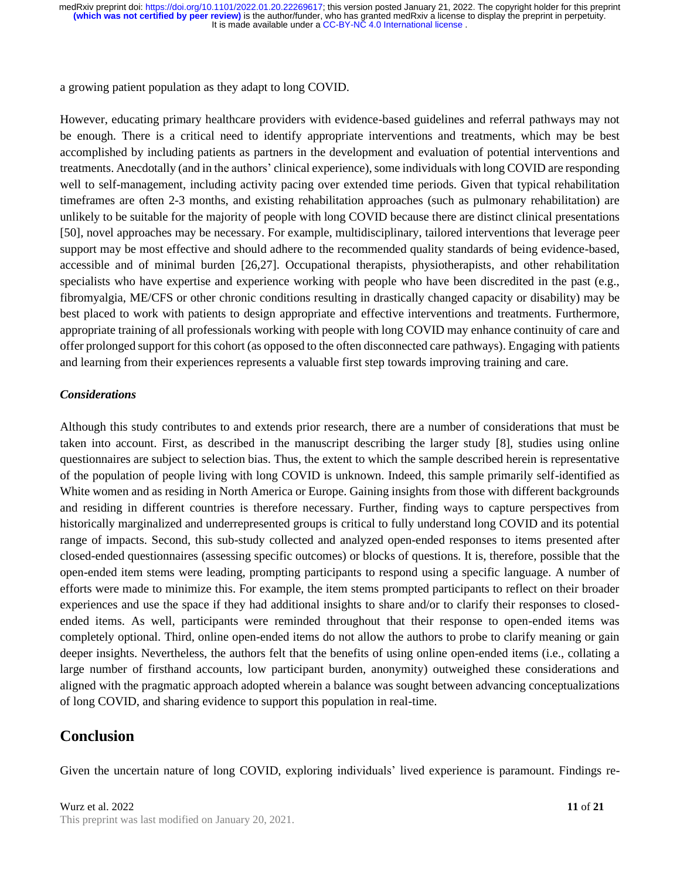a growing patient population as they adapt to long COVID.

However, educating primary healthcare providers with evidence-based guidelines and referral pathways may not be enough. There is a critical need to identify appropriate interventions and treatments, which may be best accomplished by including patients as partners in the development and evaluation of potential interventions and treatments. Anecdotally (and in the authors' clinical experience), some individuals with long COVID are responding well to self-management, including activity pacing over extended time periods. Given that typical rehabilitation timeframes are often 2-3 months, and existing rehabilitation approaches (such as pulmonary rehabilitation) are unlikely to be suitable for the majority of people with long COVID because there are distinct clinical presentations [50], novel approaches may be necessary. For example, multidisciplinary, tailored interventions that leverage peer support may be most effective and should adhere to the recommended quality standards of being evidence-based, accessible and of minimal burden [26,27]. Occupational therapists, physiotherapists, and other rehabilitation specialists who have expertise and experience working with people who have been discredited in the past (e.g., fibromyalgia, ME/CFS or other chronic conditions resulting in drastically changed capacity or disability) may be best placed to work with patients to design appropriate and effective interventions and treatments. Furthermore, appropriate training of all professionals working with people with long COVID may enhance continuity of care and offer prolonged support for this cohort (as opposed to the often disconnected care pathways). Engaging with patients and learning from their experiences represents a valuable first step towards improving training and care.

#### *Considerations*

Although this study contributes to and extends prior research, there are a number of considerations that must be taken into account. First, as described in the manuscript describing the larger study [8], studies using online questionnaires are subject to selection bias. Thus, the extent to which the sample described herein is representative of the population of people living with long COVID is unknown. Indeed, this sample primarily self-identified as White women and as residing in North America or Europe. Gaining insights from those with different backgrounds and residing in different countries is therefore necessary. Further, finding ways to capture perspectives from historically marginalized and underrepresented groups is critical to fully understand long COVID and its potential range of impacts. Second, this sub-study collected and analyzed open-ended responses to items presented after closed-ended questionnaires (assessing specific outcomes) or blocks of questions. It is, therefore, possible that the open-ended item stems were leading, prompting participants to respond using a specific language. A number of efforts were made to minimize this. For example, the item stems prompted participants to reflect on their broader experiences and use the space if they had additional insights to share and/or to clarify their responses to closedended items. As well, participants were reminded throughout that their response to open-ended items was completely optional. Third, online open-ended items do not allow the authors to probe to clarify meaning or gain deeper insights. Nevertheless, the authors felt that the benefits of using online open-ended items (i.e., collating a large number of firsthand accounts, low participant burden, anonymity) outweighed these considerations and aligned with the pragmatic approach adopted wherein a balance was sought between advancing conceptualizations of long COVID, and sharing evidence to support this population in real-time.

## **Conclusion**

Given the uncertain nature of long COVID, exploring individuals' lived experience is paramount. Findings re-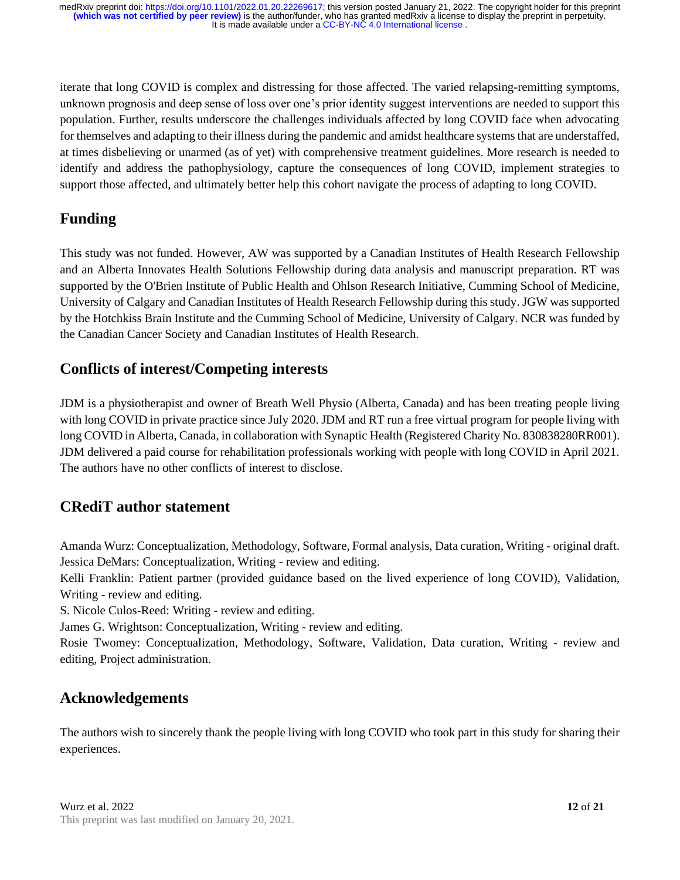iterate that long COVID is complex and distressing for those affected. The varied relapsing-remitting symptoms, unknown prognosis and deep sense of loss over one's prior identity suggest interventions are needed to support this population. Further, results underscore the challenges individuals affected by long COVID face when advocating for themselves and adapting to their illness during the pandemic and amidst healthcare systems that are understaffed, at times disbelieving or unarmed (as of yet) with comprehensive treatment guidelines. More research is needed to identify and address the pathophysiology, capture the consequences of long COVID, implement strategies to support those affected, and ultimately better help this cohort navigate the process of adapting to long COVID.

## **Funding**

This study was not funded. However, AW was supported by a Canadian Institutes of Health Research Fellowship and an Alberta Innovates Health Solutions Fellowship during data analysis and manuscript preparation. RT was supported by the O'Brien Institute of Public Health and Ohlson Research Initiative, Cumming School of Medicine, University of Calgary and Canadian Institutes of Health Research Fellowship during this study. JGW was supported by the Hotchkiss Brain Institute and the Cumming School of Medicine, University of Calgary. NCR was funded by the Canadian Cancer Society and Canadian Institutes of Health Research.

## **Conflicts of interest/Competing interests**

JDM is a physiotherapist and owner of Breath Well Physio (Alberta, Canada) and has been treating people living with long COVID in private practice since July 2020. JDM and RT run a free virtual program for people living with long COVID in Alberta, Canada, in collaboration with Synaptic Health (Registered Charity No. 830838280RR001). JDM delivered a paid course for rehabilitation professionals working with people with long COVID in April 2021. The authors have no other conflicts of interest to disclose.

## **CRediT author statement**

Amanda Wurz: Conceptualization, Methodology, Software, Formal analysis, Data curation, Writing - original draft. Jessica DeMars: Conceptualization, Writing - review and editing.

Kelli Franklin: Patient partner (provided guidance based on the lived experience of long COVID), Validation, Writing - review and editing.

S. Nicole Culos-Reed: Writing - review and editing.

James G. Wrightson: Conceptualization, Writing - review and editing.

Rosie Twomey: Conceptualization, Methodology, Software, Validation, Data curation, Writing - review and editing, Project administration.

## **Acknowledgements**

The authors wish to sincerely thank the people living with long COVID who took part in this study for sharing their experiences.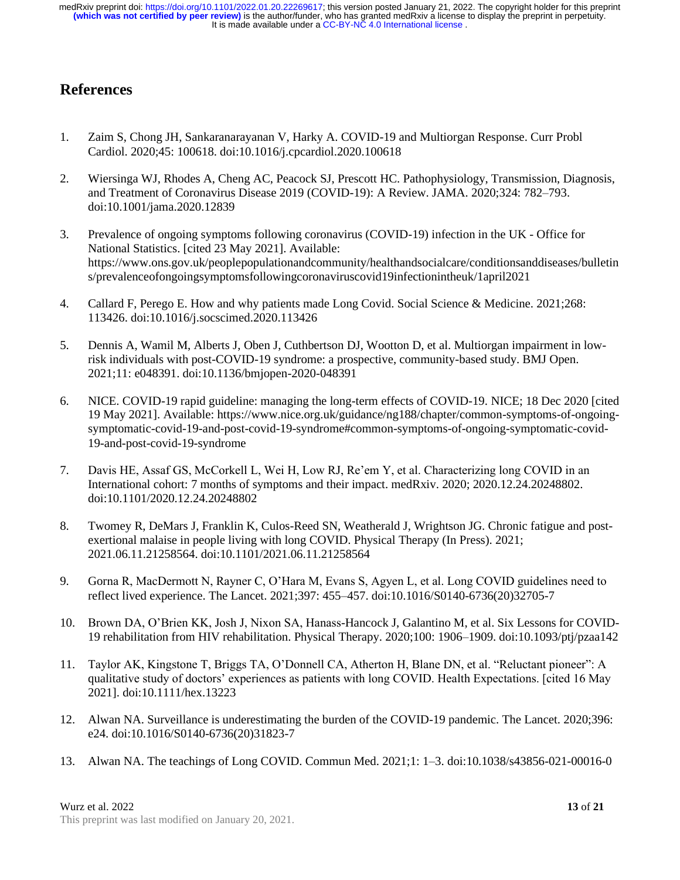## **References**

- 1. Zaim S, Chong JH, Sankaranarayanan V, Harky A. COVID-19 and Multiorgan Response. Curr Probl Cardiol. 2020;45: 100618. doi:10.1016/j.cpcardiol.2020.100618
- 2. Wiersinga WJ, Rhodes A, Cheng AC, Peacock SJ, Prescott HC. Pathophysiology, Transmission, Diagnosis, and Treatment of Coronavirus Disease 2019 (COVID-19): A Review. JAMA. 2020;324: 782–793. doi:10.1001/jama.2020.12839
- 3. Prevalence of ongoing symptoms following coronavirus (COVID-19) infection in the UK Office for National Statistics. [cited 23 May 2021]. Available: https://www.ons.gov.uk/peoplepopulationandcommunity/healthandsocialcare/conditionsanddiseases/bulletin s/prevalenceofongoingsymptomsfollowingcoronaviruscovid19infectionintheuk/1april2021
- 4. Callard F, Perego E. How and why patients made Long Covid. Social Science & Medicine. 2021;268: 113426. doi:10.1016/j.socscimed.2020.113426
- 5. Dennis A, Wamil M, Alberts J, Oben J, Cuthbertson DJ, Wootton D, et al. Multiorgan impairment in lowrisk individuals with post-COVID-19 syndrome: a prospective, community-based study. BMJ Open. 2021;11: e048391. doi:10.1136/bmjopen-2020-048391
- 6. NICE. COVID-19 rapid guideline: managing the long-term effects of COVID-19. NICE; 18 Dec 2020 [cited 19 May 2021]. Available: https://www.nice.org.uk/guidance/ng188/chapter/common-symptoms-of-ongoingsymptomatic-covid-19-and-post-covid-19-syndrome#common-symptoms-of-ongoing-symptomatic-covid-19-and-post-covid-19-syndrome
- 7. Davis HE, Assaf GS, McCorkell L, Wei H, Low RJ, Re'em Y, et al. Characterizing long COVID in an International cohort: 7 months of symptoms and their impact. medRxiv. 2020; 2020.12.24.20248802. doi:10.1101/2020.12.24.20248802
- 8. Twomey R, DeMars J, Franklin K, Culos-Reed SN, Weatherald J, Wrightson JG. Chronic fatigue and postexertional malaise in people living with long COVID. Physical Therapy (In Press). 2021; 2021.06.11.21258564. doi:10.1101/2021.06.11.21258564
- 9. Gorna R, MacDermott N, Rayner C, O'Hara M, Evans S, Agyen L, et al. Long COVID guidelines need to reflect lived experience. The Lancet. 2021;397: 455–457. doi:10.1016/S0140-6736(20)32705-7
- 10. Brown DA, O'Brien KK, Josh J, Nixon SA, Hanass-Hancock J, Galantino M, et al. Six Lessons for COVID-19 rehabilitation from HIV rehabilitation. Physical Therapy. 2020;100: 1906–1909. doi:10.1093/ptj/pzaa142
- 11. Taylor AK, Kingstone T, Briggs TA, O'Donnell CA, Atherton H, Blane DN, et al. "Reluctant pioneer": A qualitative study of doctors' experiences as patients with long COVID. Health Expectations. [cited 16 May 2021]. doi:10.1111/hex.13223
- 12. Alwan NA. Surveillance is underestimating the burden of the COVID-19 pandemic. The Lancet. 2020;396: e24. doi:10.1016/S0140-6736(20)31823-7
- 13. Alwan NA. The teachings of Long COVID. Commun Med. 2021;1: 1–3. doi:10.1038/s43856-021-00016-0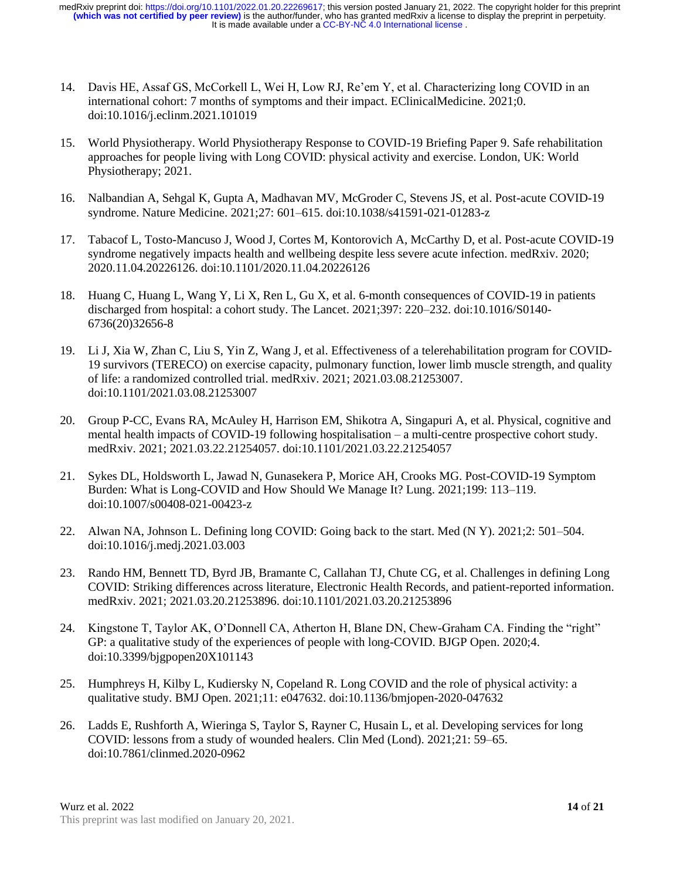- 14. Davis HE, Assaf GS, McCorkell L, Wei H, Low RJ, Re'em Y, et al. Characterizing long COVID in an international cohort: 7 months of symptoms and their impact. EClinicalMedicine. 2021;0. doi:10.1016/j.eclinm.2021.101019
- 15. World Physiotherapy. World Physiotherapy Response to COVID-19 Briefing Paper 9. Safe rehabilitation approaches for people living with Long COVID: physical activity and exercise. London, UK: World Physiotherapy; 2021.
- 16. Nalbandian A, Sehgal K, Gupta A, Madhavan MV, McGroder C, Stevens JS, et al. Post-acute COVID-19 syndrome. Nature Medicine. 2021;27: 601–615. doi:10.1038/s41591-021-01283-z
- 17. Tabacof L, Tosto-Mancuso J, Wood J, Cortes M, Kontorovich A, McCarthy D, et al. Post-acute COVID-19 syndrome negatively impacts health and wellbeing despite less severe acute infection. medRxiv. 2020; 2020.11.04.20226126. doi:10.1101/2020.11.04.20226126
- 18. Huang C, Huang L, Wang Y, Li X, Ren L, Gu X, et al. 6-month consequences of COVID-19 in patients discharged from hospital: a cohort study. The Lancet. 2021;397: 220–232. doi:10.1016/S0140- 6736(20)32656-8
- 19. Li J, Xia W, Zhan C, Liu S, Yin Z, Wang J, et al. Effectiveness of a telerehabilitation program for COVID-19 survivors (TERECO) on exercise capacity, pulmonary function, lower limb muscle strength, and quality of life: a randomized controlled trial. medRxiv. 2021; 2021.03.08.21253007. doi:10.1101/2021.03.08.21253007
- 20. Group P-CC, Evans RA, McAuley H, Harrison EM, Shikotra A, Singapuri A, et al. Physical, cognitive and mental health impacts of COVID-19 following hospitalisation – a multi-centre prospective cohort study. medRxiv. 2021; 2021.03.22.21254057. doi:10.1101/2021.03.22.21254057
- 21. Sykes DL, Holdsworth L, Jawad N, Gunasekera P, Morice AH, Crooks MG. Post-COVID-19 Symptom Burden: What is Long-COVID and How Should We Manage It? Lung. 2021;199: 113–119. doi:10.1007/s00408-021-00423-z
- 22. Alwan NA, Johnson L. Defining long COVID: Going back to the start. Med (N Y). 2021;2: 501–504. doi:10.1016/j.medj.2021.03.003
- 23. Rando HM, Bennett TD, Byrd JB, Bramante C, Callahan TJ, Chute CG, et al. Challenges in defining Long COVID: Striking differences across literature, Electronic Health Records, and patient-reported information. medRxiv. 2021; 2021.03.20.21253896. doi:10.1101/2021.03.20.21253896
- 24. Kingstone T, Taylor AK, O'Donnell CA, Atherton H, Blane DN, Chew-Graham CA. Finding the "right" GP: a qualitative study of the experiences of people with long-COVID. BJGP Open. 2020;4. doi:10.3399/bjgpopen20X101143
- 25. Humphreys H, Kilby L, Kudiersky N, Copeland R. Long COVID and the role of physical activity: a qualitative study. BMJ Open. 2021;11: e047632. doi:10.1136/bmjopen-2020-047632
- 26. Ladds E, Rushforth A, Wieringa S, Taylor S, Rayner C, Husain L, et al. Developing services for long COVID: lessons from a study of wounded healers. Clin Med (Lond). 2021;21: 59–65. doi:10.7861/clinmed.2020-0962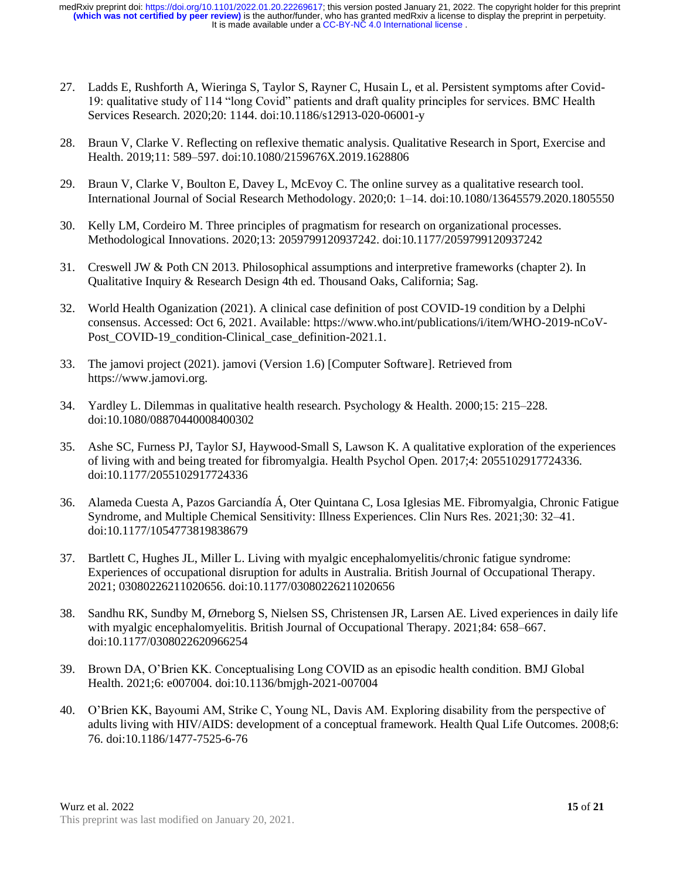- 27. Ladds E, Rushforth A, Wieringa S, Taylor S, Rayner C, Husain L, et al. Persistent symptoms after Covid-19: qualitative study of 114 "long Covid" patients and draft quality principles for services. BMC Health Services Research. 2020;20: 1144. doi:10.1186/s12913-020-06001-y
- 28. Braun V, Clarke V. Reflecting on reflexive thematic analysis. Qualitative Research in Sport, Exercise and Health. 2019;11: 589–597. doi:10.1080/2159676X.2019.1628806
- 29. Braun V, Clarke V, Boulton E, Davey L, McEvoy C. The online survey as a qualitative research tool. International Journal of Social Research Methodology. 2020;0: 1–14. doi:10.1080/13645579.2020.1805550
- 30. Kelly LM, Cordeiro M. Three principles of pragmatism for research on organizational processes. Methodological Innovations. 2020;13: 2059799120937242. doi:10.1177/2059799120937242
- 31. Creswell JW & Poth CN 2013. Philosophical assumptions and interpretive frameworks (chapter 2). In Qualitative Inquiry & Research Design 4th ed. Thousand Oaks, California; Sag.
- 32. World Health Oganization (2021). A clinical case definition of post COVID-19 condition by a Delphi consensus. Accessed: Oct 6, 2021. Available: https://www.who.int/publications/i/item/WHO-2019-nCoV-Post COVID-19 condition-Clinical case definition-2021.1.
- 33. The jamovi project (2021). jamovi (Version 1.6) [Computer Software]. Retrieved from https://www.jamovi.org.
- 34. Yardley L. Dilemmas in qualitative health research. Psychology & Health. 2000;15: 215–228. doi:10.1080/08870440008400302
- 35. Ashe SC, Furness PJ, Taylor SJ, Haywood-Small S, Lawson K. A qualitative exploration of the experiences of living with and being treated for fibromyalgia. Health Psychol Open. 2017;4: 2055102917724336. doi:10.1177/2055102917724336
- 36. Alameda Cuesta A, Pazos Garciandía Á, Oter Quintana C, Losa Iglesias ME. Fibromyalgia, Chronic Fatigue Syndrome, and Multiple Chemical Sensitivity: Illness Experiences. Clin Nurs Res. 2021;30: 32–41. doi:10.1177/1054773819838679
- 37. Bartlett C, Hughes JL, Miller L. Living with myalgic encephalomyelitis/chronic fatigue syndrome: Experiences of occupational disruption for adults in Australia. British Journal of Occupational Therapy. 2021; 03080226211020656. doi:10.1177/03080226211020656
- 38. Sandhu RK, Sundby M, Ørneborg S, Nielsen SS, Christensen JR, Larsen AE. Lived experiences in daily life with myalgic encephalomyelitis. British Journal of Occupational Therapy. 2021;84: 658–667. doi:10.1177/0308022620966254
- 39. Brown DA, O'Brien KK. Conceptualising Long COVID as an episodic health condition. BMJ Global Health. 2021;6: e007004. doi:10.1136/bmjgh-2021-007004
- 40. O'Brien KK, Bayoumi AM, Strike C, Young NL, Davis AM. Exploring disability from the perspective of adults living with HIV/AIDS: development of a conceptual framework. Health Qual Life Outcomes. 2008;6: 76. doi:10.1186/1477-7525-6-76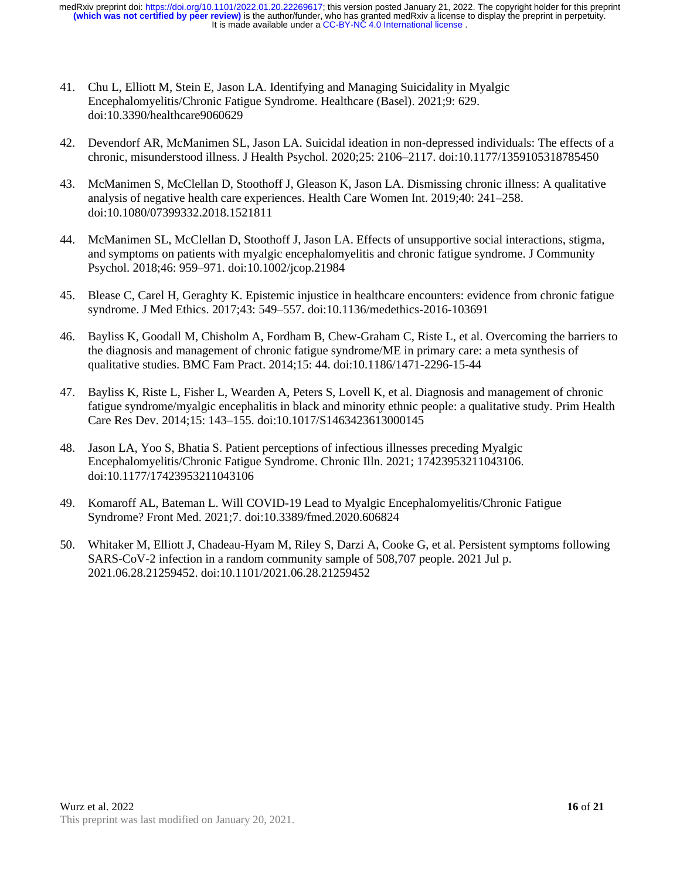- 41. Chu L, Elliott M, Stein E, Jason LA. Identifying and Managing Suicidality in Myalgic Encephalomyelitis/Chronic Fatigue Syndrome. Healthcare (Basel). 2021;9: 629. doi:10.3390/healthcare9060629
- 42. Devendorf AR, McManimen SL, Jason LA. Suicidal ideation in non-depressed individuals: The effects of a chronic, misunderstood illness. J Health Psychol. 2020;25: 2106–2117. doi:10.1177/1359105318785450
- 43. McManimen S, McClellan D, Stoothoff J, Gleason K, Jason LA. Dismissing chronic illness: A qualitative analysis of negative health care experiences. Health Care Women Int. 2019;40: 241–258. doi:10.1080/07399332.2018.1521811
- 44. McManimen SL, McClellan D, Stoothoff J, Jason LA. Effects of unsupportive social interactions, stigma, and symptoms on patients with myalgic encephalomyelitis and chronic fatigue syndrome. J Community Psychol. 2018;46: 959–971. doi:10.1002/jcop.21984
- 45. Blease C, Carel H, Geraghty K. Epistemic injustice in healthcare encounters: evidence from chronic fatigue syndrome. J Med Ethics. 2017;43: 549–557. doi:10.1136/medethics-2016-103691
- 46. Bayliss K, Goodall M, Chisholm A, Fordham B, Chew-Graham C, Riste L, et al. Overcoming the barriers to the diagnosis and management of chronic fatigue syndrome/ME in primary care: a meta synthesis of qualitative studies. BMC Fam Pract. 2014;15: 44. doi:10.1186/1471-2296-15-44
- 47. Bayliss K, Riste L, Fisher L, Wearden A, Peters S, Lovell K, et al. Diagnosis and management of chronic fatigue syndrome/myalgic encephalitis in black and minority ethnic people: a qualitative study. Prim Health Care Res Dev. 2014;15: 143–155. doi:10.1017/S1463423613000145
- 48. Jason LA, Yoo S, Bhatia S. Patient perceptions of infectious illnesses preceding Myalgic Encephalomyelitis/Chronic Fatigue Syndrome. Chronic Illn. 2021; 17423953211043106. doi:10.1177/17423953211043106
- 49. Komaroff AL, Bateman L. Will COVID-19 Lead to Myalgic Encephalomyelitis/Chronic Fatigue Syndrome? Front Med. 2021;7. doi:10.3389/fmed.2020.606824
- 50. Whitaker M, Elliott J, Chadeau-Hyam M, Riley S, Darzi A, Cooke G, et al. Persistent symptoms following SARS-CoV-2 infection in a random community sample of 508,707 people. 2021 Jul p. 2021.06.28.21259452. doi:10.1101/2021.06.28.21259452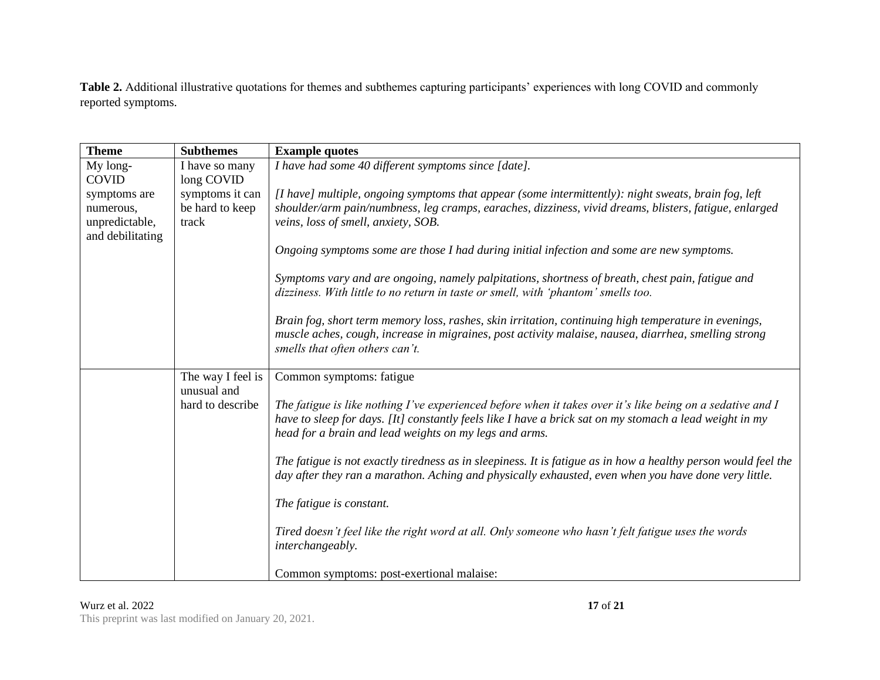**Table 2.** Additional illustrative quotations for themes and subthemes capturing participants' experiences with long COVID and commonly reported symptoms.

| <b>Theme</b>     | <b>Subthemes</b>  | <b>Example quotes</b>                                                                                                                                                                                                  |
|------------------|-------------------|------------------------------------------------------------------------------------------------------------------------------------------------------------------------------------------------------------------------|
| My long-         | I have so many    | I have had some 40 different symptoms since [date].                                                                                                                                                                    |
| <b>COVID</b>     | long COVID        |                                                                                                                                                                                                                        |
| symptoms are     | symptoms it can   | [I have] multiple, ongoing symptoms that appear (some intermittently): night sweats, brain fog, left                                                                                                                   |
| numerous,        | be hard to keep   | shoulder/arm pain/numbness, leg cramps, earaches, dizziness, vivid dreams, blisters, fatigue, enlarged                                                                                                                 |
| unpredictable,   | track             | veins, loss of smell, anxiety, SOB.                                                                                                                                                                                    |
| and debilitating |                   |                                                                                                                                                                                                                        |
|                  |                   | Ongoing symptoms some are those I had during initial infection and some are new symptoms.                                                                                                                              |
|                  |                   | Symptoms vary and are ongoing, namely palpitations, shortness of breath, chest pain, fatigue and<br>dizziness. With little to no return in taste or smell, with 'phantom' smells too.                                  |
|                  |                   | Brain fog, short term memory loss, rashes, skin irritation, continuing high temperature in evenings,                                                                                                                   |
|                  |                   | muscle aches, cough, increase in migraines, post activity malaise, nausea, diarrhea, smelling strong<br>smells that often others can't.                                                                                |
|                  | The way I feel is | Common symptoms: fatigue                                                                                                                                                                                               |
|                  | unusual and       |                                                                                                                                                                                                                        |
|                  | hard to describe  | The fatigue is like nothing I've experienced before when it takes over it's like being on a sedative and I                                                                                                             |
|                  |                   | have to sleep for days. [It] constantly feels like I have a brick sat on my stomach a lead weight in my<br>head for a brain and lead weights on my legs and arms.                                                      |
|                  |                   |                                                                                                                                                                                                                        |
|                  |                   | The fatigue is not exactly tiredness as in sleepiness. It is fatigue as in how a healthy person would feel the<br>day after they ran a marathon. Aching and physically exhausted, even when you have done very little. |
|                  |                   |                                                                                                                                                                                                                        |
|                  |                   | The fatigue is constant.                                                                                                                                                                                               |
|                  |                   | Tired doesn't feel like the right word at all. Only someone who hasn't felt fatigue uses the words<br>interchangeably.                                                                                                 |
|                  |                   | Common symptoms: post-exertional malaise:                                                                                                                                                                              |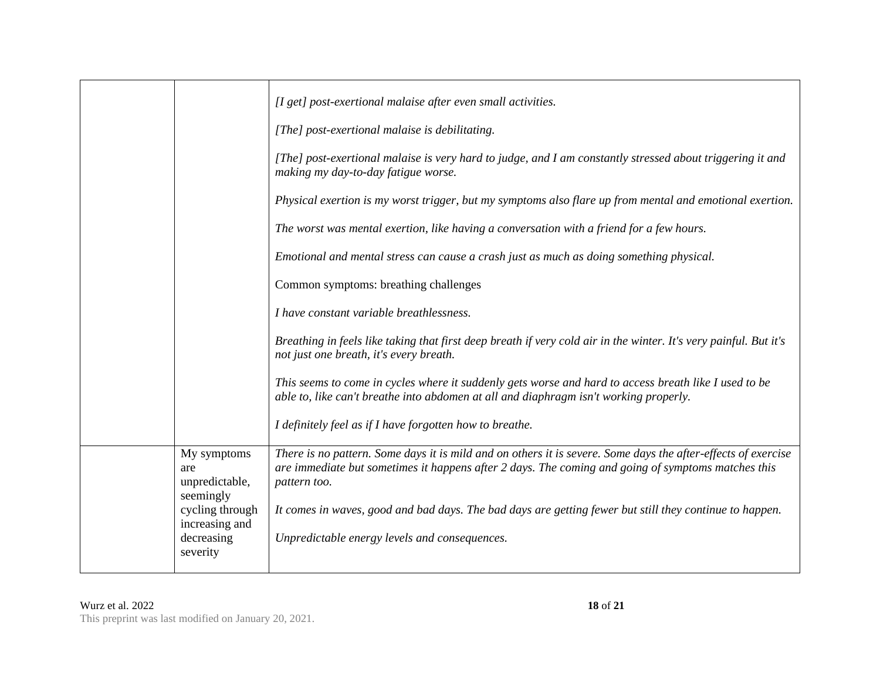|                                                                                                                  | [I get] post-exertional malaise after even small activities.<br>[The] post-exertional malaise is debilitating.<br>[The] post-exertional malaise is very hard to judge, and I am constantly stressed about triggering it and<br>making my day-to-day fatigue worse.<br>Physical exertion is my worst trigger, but my symptoms also flare up from mental and emotional exertion.<br>The worst was mental exertion, like having a conversation with a friend for a few hours.                                                                     |
|------------------------------------------------------------------------------------------------------------------|------------------------------------------------------------------------------------------------------------------------------------------------------------------------------------------------------------------------------------------------------------------------------------------------------------------------------------------------------------------------------------------------------------------------------------------------------------------------------------------------------------------------------------------------|
|                                                                                                                  | Emotional and mental stress can cause a crash just as much as doing something physical.<br>Common symptoms: breathing challenges<br>I have constant variable breathlessness.<br>Breathing in feels like taking that first deep breath if very cold air in the winter. It's very painful. But it's<br>not just one breath, it's every breath.<br>This seems to come in cycles where it suddenly gets worse and hard to access breath like I used to be<br>able to, like can't breathe into abdomen at all and diaphragm isn't working properly. |
|                                                                                                                  | I definitely feel as if I have forgotten how to breathe.                                                                                                                                                                                                                                                                                                                                                                                                                                                                                       |
| My symptoms<br>are<br>unpredictable,<br>seemingly<br>cycling through<br>increasing and<br>decreasing<br>severity | There is no pattern. Some days it is mild and on others it is severe. Some days the after-effects of exercise<br>are immediate but sometimes it happens after 2 days. The coming and going of symptoms matches this<br>pattern too.<br>It comes in waves, good and bad days. The bad days are getting fewer but still they continue to happen.<br>Unpredictable energy levels and consequences.                                                                                                                                                |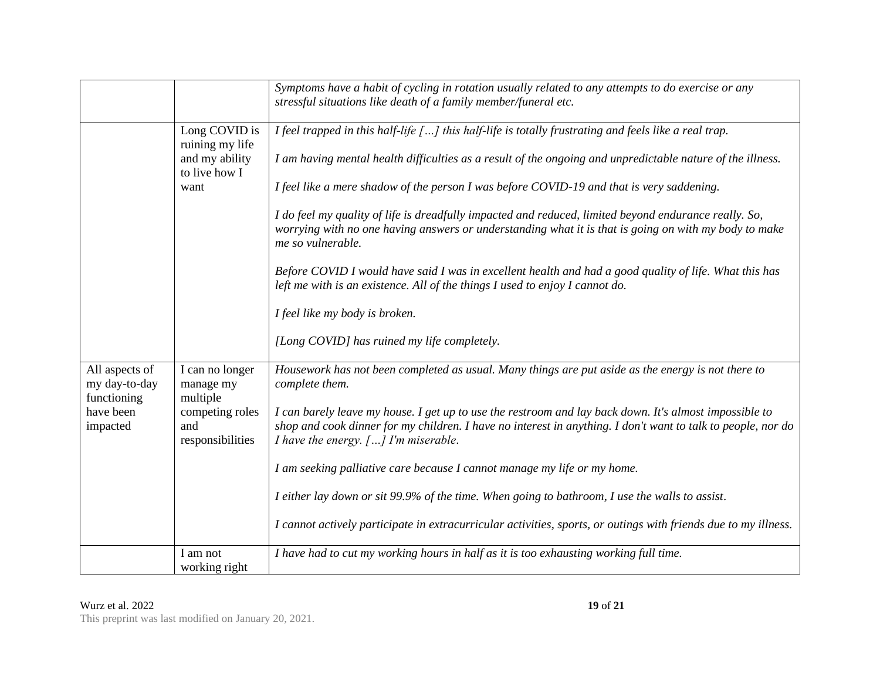|                                                |                                            | Symptoms have a habit of cycling in rotation usually related to any attempts to do exercise or any<br>stressful situations like death of a family member/funeral etc.                                                                                          |
|------------------------------------------------|--------------------------------------------|----------------------------------------------------------------------------------------------------------------------------------------------------------------------------------------------------------------------------------------------------------------|
|                                                | Long COVID is<br>ruining my life           | I feel trapped in this half-life [] this half-life is totally frustrating and feels like a real trap.                                                                                                                                                          |
|                                                | and my ability<br>to live how I            | I am having mental health difficulties as a result of the ongoing and unpredictable nature of the illness.                                                                                                                                                     |
|                                                | want                                       | I feel like a mere shadow of the person I was before COVID-19 and that is very saddening.                                                                                                                                                                      |
|                                                |                                            | I do feel my quality of life is dreadfully impacted and reduced, limited beyond endurance really. So,<br>worrying with no one having answers or understanding what it is that is going on with my body to make<br>me so vulnerable.                            |
|                                                |                                            | Before COVID I would have said I was in excellent health and had a good quality of life. What this has<br>left me with is an existence. All of the things I used to enjoy I cannot do.                                                                         |
|                                                |                                            | I feel like my body is broken.                                                                                                                                                                                                                                 |
|                                                |                                            | [Long COVID] has ruined my life completely.                                                                                                                                                                                                                    |
| All aspects of<br>my day-to-day<br>functioning | I can no longer<br>manage my<br>multiple   | Housework has not been completed as usual. Many things are put aside as the energy is not there to<br>complete them.                                                                                                                                           |
| have been<br>impacted                          | competing roles<br>and<br>responsibilities | I can barely leave my house. I get up to use the restroom and lay back down. It's almost impossible to<br>shop and cook dinner for my children. I have no interest in anything. I don't want to talk to people, nor do<br>I have the energy. [] I'm miserable. |
|                                                |                                            | I am seeking palliative care because I cannot manage my life or my home.                                                                                                                                                                                       |
|                                                |                                            | I either lay down or sit 99.9% of the time. When going to bathroom, I use the walls to assist.                                                                                                                                                                 |
|                                                |                                            | I cannot actively participate in extracurricular activities, sports, or outings with friends due to my illness.                                                                                                                                                |
|                                                | I am not<br>working right                  | I have had to cut my working hours in half as it is too exhausting working full time.                                                                                                                                                                          |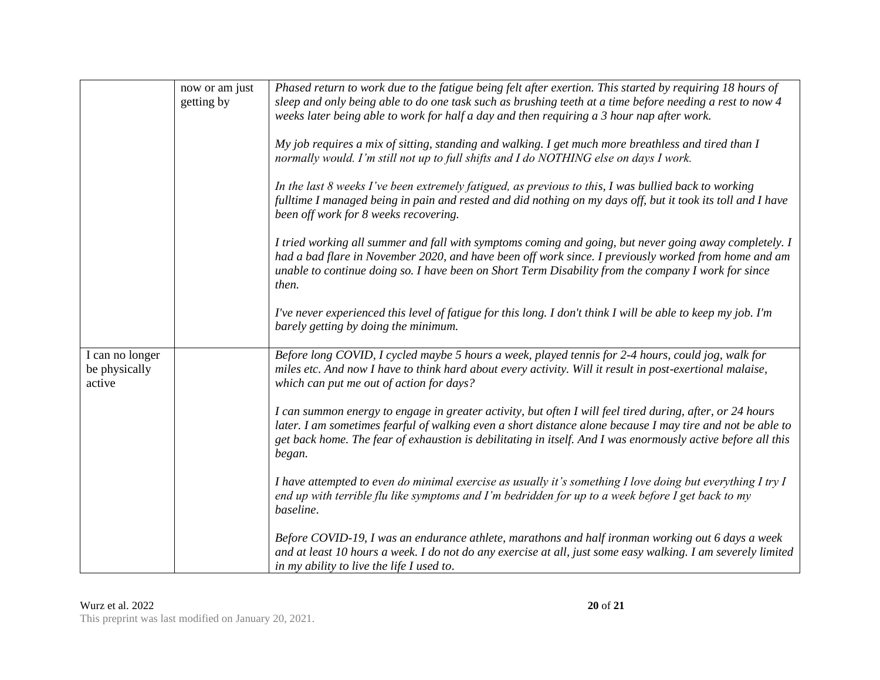|                                            | now or am just<br>getting by | Phased return to work due to the fatigue being felt after exertion. This started by requiring 18 hours of<br>sleep and only being able to do one task such as brushing teeth at a time before needing a rest to now 4<br>weeks later being able to work for half a day and then requiring a 3 hour nap after work.                                |
|--------------------------------------------|------------------------------|---------------------------------------------------------------------------------------------------------------------------------------------------------------------------------------------------------------------------------------------------------------------------------------------------------------------------------------------------|
|                                            |                              | My job requires a mix of sitting, standing and walking. I get much more breathless and tired than I<br>normally would. I'm still not up to full shifts and I do NOTHING else on days I work.                                                                                                                                                      |
|                                            |                              | In the last 8 weeks I've been extremely fatigued, as previous to this, I was bullied back to working<br>fulltime I managed being in pain and rested and did nothing on my days off, but it took its toll and I have<br>been off work for 8 weeks recovering.                                                                                      |
|                                            |                              | I tried working all summer and fall with symptoms coming and going, but never going away completely. I<br>had a bad flare in November 2020, and have been off work since. I previously worked from home and am<br>unable to continue doing so. I have been on Short Term Disability from the company I work for since<br>then.                    |
|                                            |                              | I've never experienced this level of fatigue for this long. I don't think I will be able to keep my job. I'm<br>barely getting by doing the minimum.                                                                                                                                                                                              |
| I can no longer<br>be physically<br>active |                              | Before long COVID, I cycled maybe 5 hours a week, played tennis for 2-4 hours, could jog, walk for<br>miles etc. And now I have to think hard about every activity. Will it result in post-exertional malaise,<br>which can put me out of action for days?                                                                                        |
|                                            |                              | I can summon energy to engage in greater activity, but often I will feel tired during, after, or 24 hours<br>later. I am sometimes fearful of walking even a short distance alone because I may tire and not be able to<br>get back home. The fear of exhaustion is debilitating in itself. And I was enormously active before all this<br>began. |
|                                            |                              | I have attempted to even do minimal exercise as usually it's something I love doing but everything I try I<br>end up with terrible flu like symptoms and I'm bedridden for up to a week before I get back to my<br>baseline.                                                                                                                      |
|                                            |                              | Before COVID-19, I was an endurance athlete, marathons and half ironman working out 6 days a week<br>and at least 10 hours a week. I do not do any exercise at all, just some easy walking. I am severely limited<br>in my ability to live the life I used to.                                                                                    |